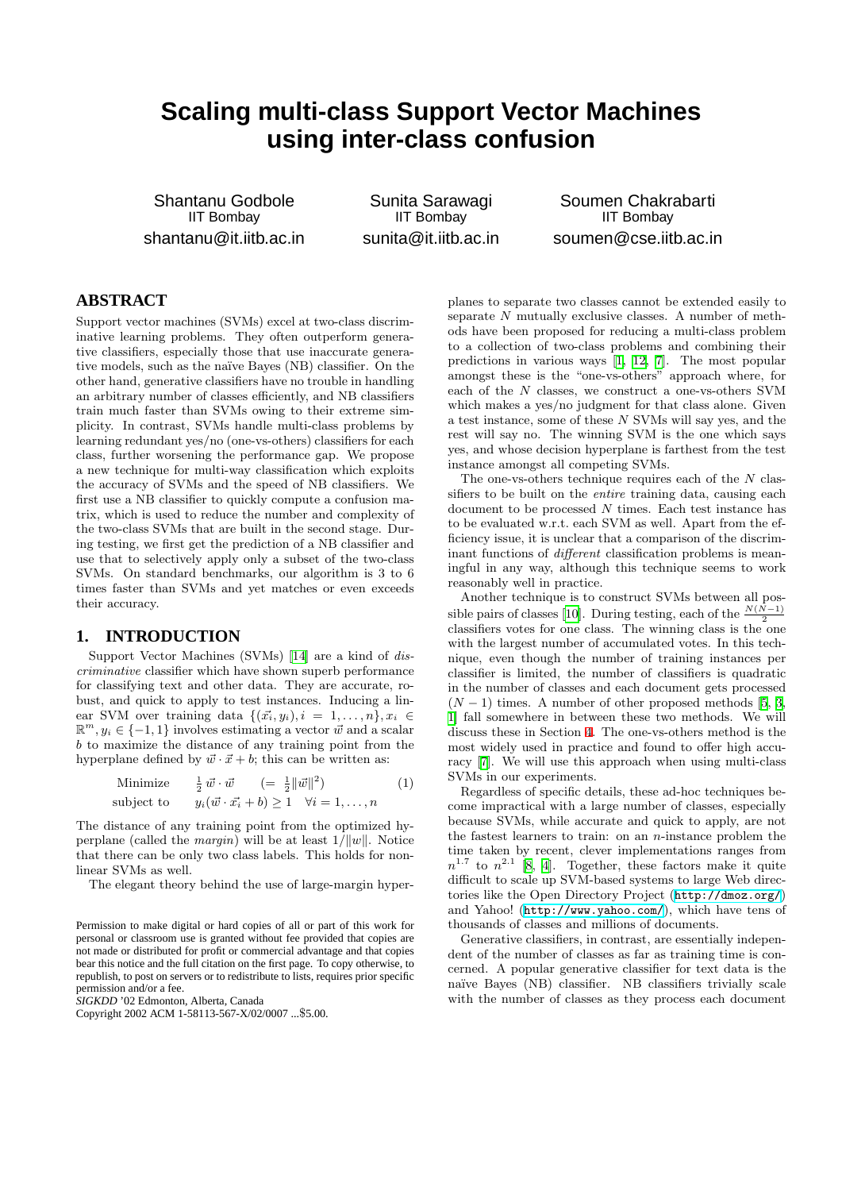# **Scaling multi-class Support Vector Machines using inter-class confusion**

Shantanu Godbole IIT Bombay shantanu@it.iitb.ac.in

Sunita Sarawagi IIT Bombay sunita@it.iitb.ac.in

Soumen Chakrabarti IIT Bombay soumen@cse.iitb.ac.in

# **ABSTRACT**

Support vector machines (SVMs) excel at two-class discriminative learning problems. They often outperform generative classifiers, especially those that use inaccurate generative models, such as the na¨ıve Bayes (NB) classifier. On the other hand, generative classifiers have no trouble in handling an arbitrary number of classes efficiently, and NB classifiers train much faster than SVMs owing to their extreme simplicity. In contrast, SVMs handle multi-class problems by learning redundant yes/no (one-vs-others) classifiers for each class, further worsening the performance gap. We propose a new technique for multi-way classification which exploits the accuracy of SVMs and the speed of NB classifiers. We first use a NB classifier to quickly compute a confusion matrix, which is used to reduce the number and complexity of the two-class SVMs that are built in the second stage. During testing, we first get the prediction of a NB classifier and use that to selectively apply only a subset of the two-class SVMs. On standard benchmarks, our algorithm is 3 to 6 times faster than SVMs and yet matches or even exceeds their accuracy.

## **1. INTRODUCTION**

Support Vector Machines (SVMs)[[14](#page-5-0)] are a kind of discriminative classifier which have shown superb performance for classifying text and other data. They are accurate, robust, and quick to apply to test instances. Inducing a linear SVM over training data  $\{(\vec{x_i}, y_i), i = 1, \ldots, n\}, x_i \in$  $\mathbb{R}^m, y_i \in \{-1, 1\}$  involves estimating a vector  $\vec{w}$  and a scalar b to maximize the distance of any training point from the hyperplane defined by  $\vec{w} \cdot \vec{x} + b$ ; this can be written as:

Minimize 
$$
\frac{1}{2}\vec{w}\cdot\vec{w}
$$
 (=  $\frac{1}{2}||\vec{w}||^2$ )  
subject to  $y_i(\vec{w}\cdot\vec{x_i} + b) \ge 1 \quad \forall i = 1,...,n$  (1)

The distance of any training point from the optimized hyperplane (called the *margin*) will be at least  $1/||w||$ . Notice that there can be only two class labels. This holds for nonlinear SVMs as well.

The elegant theory behind the use of large-margin hyper-

*SIGKDD* '02 Edmonton, Alberta, Canada

Copyright 2002 ACM 1-58113-567-X/02/0007 ...\$5.00.

planes to separate two classes cannot be extended easily to separate N mutually exclusive classes. A number of methods have been proposed for reducing a multi-class problem to a collection of two-class problems and combining their predictions in various ways[[1](#page-5-1), [12,](#page-5-2) [7](#page-5-3)]. The most popular amongst these is the "one-vs-others" approach where, for each of the N classes, we construct a one-vs-others SVM which makes a yes/no judgment for that class alone. Given a test instance, some of these N SVMs will say yes, and the rest will say no. The winning SVM is the one which says yes, and whose decision hyperplane is farthest from the test instance amongst all competing SVMs.

The one-vs-others technique requires each of the  $N$  classifiers to be built on the entire training data, causing each document to be processed  $N$  times. Each test instance has to be evaluated w.r.t. each SVM as well. Apart from the efficiency issue, it is unclear that a comparison of the discriminant functions of different classification problems is meaningful in any way, although this technique seems to work reasonably well in practice.

Another technique is to construct SVMs between all pos-siblepairs of classes [[10](#page-5-4)]. During testing, each of the  $\frac{N(\hat{N}-1)}{2}$ classifiers votes for one class. The winning class is the one with the largest number of accumulated votes. In this technique, even though the number of training instances per classifier is limited, the number of classifiers is quadratic in the number of classes and each document gets processed  $(N-1)$  times. A number of other proposed methods [\[5,](#page-5-5) [3](#page-5-6), [1](#page-5-1)] fall somewhere in between these two methods. We will discuss these in Section [4.](#page-5-7) The one-vs-others method is the most widely used in practice and found to offer high accuracy [\[7\]](#page-5-3). We will use this approach when using multi-class SVMs in our experiments.

Regardless of specific details, these ad-hoc techniques become impractical with a large number of classes, especially because SVMs, while accurate and quick to apply, are not the fastest learners to train: on an  $n$ -instance problem the time taken by recent, clever implementations ranges from  $n^{1.7}$  to  $n^{2.1}$  [[8](#page-5-8), [4](#page-5-9)]. Together, these factors make it quite difficult to scale up SVM-based systems to large Web directories like the Open Directory Project (<http://dmoz.org/>) and Yahoo! (<http://www.yahoo.com/>), which have tens of thousands of classes and millions of documents.

Generative classifiers, in contrast, are essentially independent of the number of classes as far as training time is concerned. A popular generative classifier for text data is the naïve Bayes (NB) classifier. NB classifiers trivially scale with the number of classes as they process each document

Permission to make digital or hard copies of all or part of this work for personal or classroom use is granted without fee provided that copies are not made or distributed for profit or commercial advantage and that copies bear this notice and the full citation on the first page. To copy otherwise, to republish, to post on servers or to redistribute to lists, requires prior specific permission and/or a fee.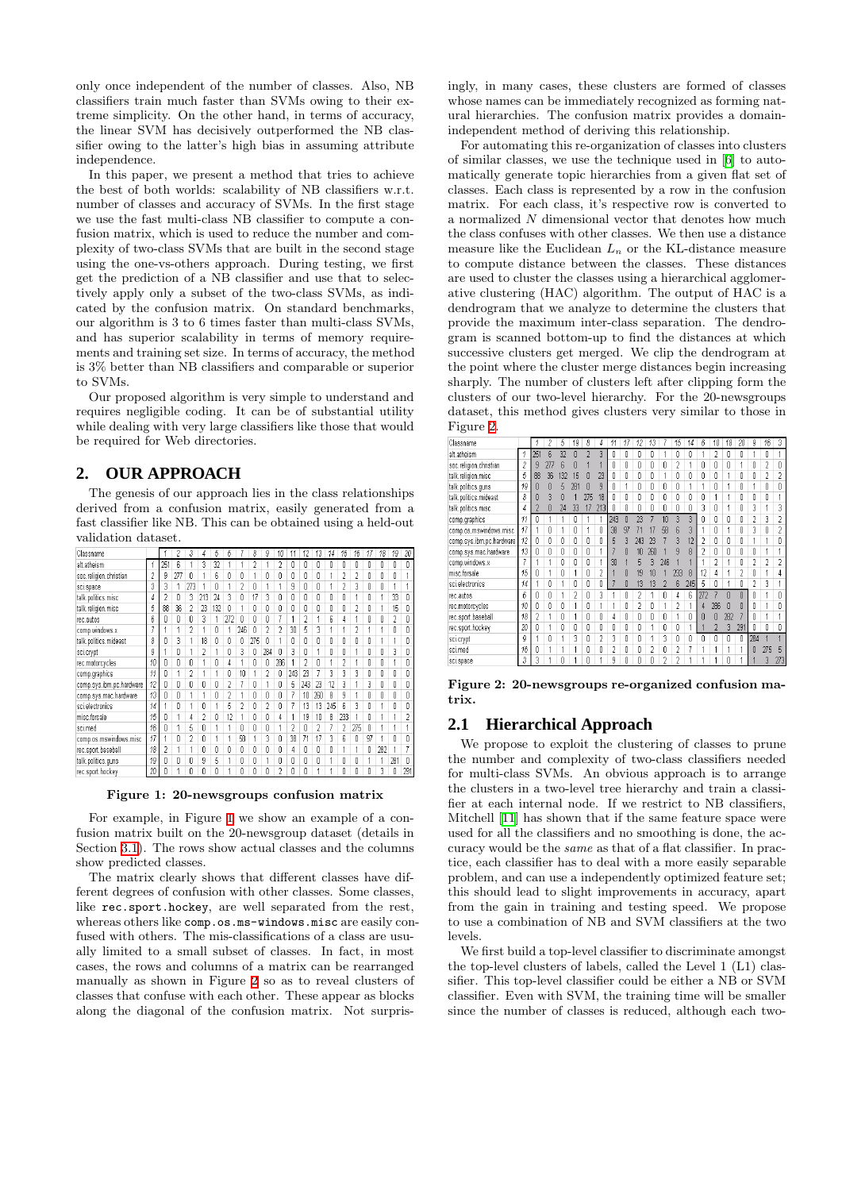only once independent of the number of classes. Also, NB classifiers train much faster than SVMs owing to their extreme simplicity. On the other hand, in terms of accuracy, the linear SVM has decisively outperformed the NB classifier owing to the latter's high bias in assuming attribute independence.

In this paper, we present a method that tries to achieve the best of both worlds: scalability of NB classifiers w.r.t. number of classes and accuracy of SVMs. In the first stage we use the fast multi-class NB classifier to compute a confusion matrix, which is used to reduce the number and complexity of two-class SVMs that are built in the second stage using the one-vs-others approach. During testing, we first get the prediction of a NB classifier and use that to selectively apply only a subset of the two-class SVMs, as indicated by the confusion matrix. On standard benchmarks, our algorithm is 3 to 6 times faster than multi-class SVMs, and has superior scalability in terms of memory requirements and training set size. In terms of accuracy, the method is 3% better than NB classifiers and comparable or superior to SVMs.

Our proposed algorithm is very simple to understand and requires negligible coding. It can be of substantial utility while dealing with very large classifiers like those that would be required for Web directories.

## **2. OUR APPROACH**

The genesis of our approach lies in the class relationships derived from a confusion matrix, easily generated from a fast classifier like NB. This can be obtained using a held-out validation dataset.

| Classname                |                |     |     | 3              | 4   | 5   | 6              |     | 8   | g                        | 10                       | 11  | 12             | 13  | 14  | 15             | 16  | 17 | 18         | 19         | 20  |
|--------------------------|----------------|-----|-----|----------------|-----|-----|----------------|-----|-----|--------------------------|--------------------------|-----|----------------|-----|-----|----------------|-----|----|------------|------------|-----|
| alt.atheism              | 1              | 251 | ĥ   |                | 3   | 32  |                |     |     |                          | 2                        | O   | Λ              | 0   | Λ   | 0              | 0   | Λ  | Λ          | 0          | Λ   |
| soc.religion.christian   | $\overline{c}$ | 9   | 277 | 0              |     | 6   | Ō              | Ū   |     | ۵                        | ۵                        | ۵   | O              | 0   |     | 2              | 2   | 0  | 0          | 0          |     |
| sci.space                | 3              | 3   |     | 273            |     | Ň   |                | 2   | Λ   |                          |                          | 9   | Λ              | n   |     | 2              | 3   | n  | Λ          |            |     |
| talk.politics.misc       | 4              | 2   |     | 3              | 213 | 24  | 3              | ۵   | 17  | 3                        | n                        | ۵   | Λ              | 0   | 0   | n              |     | n  |            | 33         |     |
| talk.religion.misc       | 5              | ŔŔ  | 36  | 2              | 23  | 132 | 0              |     | Ū   | Λ                        | n                        | ٥   | Λ              | n   | n   | n              | 2   | n  |            | 15         | Λ   |
| rec.autos                | 6              | n   | n   | n              | 3   |     | 272            | n   | Ñ   | Λ                        |                          | 1   | 2              |     | 6   | 4              |     | n  | Π          | 2          |     |
| comp.windows.x           |                |     |     | 2              |     | n   |                | 246 | Ō   | $\overline{\phantom{a}}$ | $\overline{\phantom{a}}$ | 30  | 5              | 3   |     |                | 2   |    |            | Ō          |     |
| talk.politics.mideast    | 8              | n   | 3   |                | 18  | Λ   | ٥              | n   | 275 | n                        | Á                        | O   | Λ              | 0   | Λ   | Λ              | n   | Λ  |            |            | Ñ   |
| sci.crypt                | g              |     | n   |                | 2   | 4   | 0              | 3   | O   | 284                      | Ñ                        | 3   | Ō              | 4   | 0   | Ō              | 1   | O  | 0          | 3          | n   |
| rec.motorcycles          | 10             | Λ   | Λ   | Λ              |     | Ū   | 4              |     | Λ   | 0                        | 286                      |     | $\overline{2}$ | n   |     | $\overline{2}$ |     | n  | n          |            | Λ   |
| comp.graphics            | 11             | O   |     | 2              |     |     | 0              | 10  |     | 2                        | 0                        | 243 | 23             |     | 3   | 3              | 3   | 0  | 0          | 0          | ۵   |
| comp.sys.ibm.pc.hardware | 12             | Λ   | Λ   | Λ              | Λ   | ſ   | 2              |     | 0   |                          | Λ                        | 5   | 243            | 23  | 12  | 3              |     | 3  | Λ          | n          | Λ   |
| comp.sys.mac.hardware    | 13             | n   | n   |                |     | n   | $\overline{2}$ |     | ۵   | ۵                        | n                        | 7   | 10             | 260 | 8   | 9              |     | 0  | $\sqrt{ }$ | $\sqrt{ }$ | n   |
| sci.electronics          | 14             |     | n   |                | n   |     | 5              | 2   | Ū   | 2                        | n                        | 7   | 13             | 13  | 245 | ĥ              | 3   | n  |            | n          | Λ   |
| misc.forsale             | 15             | Λ   |     | Δ              | 2   | 0   | 12             |     | O   | n                        | 4                        | 1   | 19             | 10  | 8   | 233            |     | Λ  |            |            |     |
| sci.med                  | 16             | n   |     | 5              | n   |     | 1              | Λ   | Ω   | Ω                        |                          | 2   |                | 2   |     | 2              | 275 | Λ  |            |            |     |
| comp.os.mswindows.misc   | 17             |     | n   | $\overline{2}$ | n   |     | 1              | 58  |     | 3                        | Λ                        | 38  | 71             | 17  | 3   | ĥ              | Λ   | 97 |            | n          |     |
| rec.sport.baseball       | 18             | 2   |     |                | n   | Ō   | Ō              | Ō   | Ō   | 0                        | n                        | 4   | Ñ              | Ō   | n   |                | 1   | n  | 282        |            |     |
| talk.politics.guns       | 19             | n   | n   | Λ              | 9   | 5   | 1              | Λ   | n   |                          | Λ                        | Ō   | Λ              | n   |     | 0              | 0   |    |            | 281        | n   |
| rec.sport.hockev         | 20             | 0   |     | 0              | n   | n   |                |     | Ō   | ۵                        |                          | Ō   |                |     |     | n              | n   |    | 3          | 0          | 291 |

#### <span id="page-1-0"></span>Figure 1: 20-newsgroups confusion matrix

For example, in Figure [1](#page-1-0) we show an example of a confusion matrix built on the 20-newsgroup dataset (details in Section [3.1\)](#page-3-0). The rows show actual classes and the columns show predicted classes.

The matrix clearly shows that different classes have different degrees of confusion with other classes. Some classes, like rec.sport.hockey, are well separated from the rest, whereas others like comp.os.ms-windows.misc are easily confused with others. The mis-classifications of a class are usually limited to a small subset of classes. In fact, in most cases, the rows and columns of a matrix can be rearranged manually as shown in Figure [2](#page-1-1) so as to reveal clusters of classes that confuse with each other. These appear as blocks along the diagonal of the confusion matrix. Not surprisingly, in many cases, these clusters are formed of classes whose names can be immediately recognized as forming natural hierarchies. The confusion matrix provides a domainindependent method of deriving this relationship.

For automating this re-organization of classes into clusters of similar classes, we use the technique used in[[6\]](#page-5-10) to automatically generate topic hierarchies from a given flat set of classes. Each class is represented by a row in the confusion matrix. For each class, it's respective row is converted to a normalized N dimensional vector that denotes how much the class confuses with other classes. We then use a distance measure like the Euclidean  $L_n$  or the KL-distance measure to compute distance between the classes. These distances are used to cluster the classes using a hierarchical agglomerative clustering (HAC) algorithm. The output of HAC is a dendrogram that we analyze to determine the clusters that provide the maximum inter-class separation. The dendrogram is scanned bottom-up to find the distances at which successive clusters get merged. We clip the dendrogram at the point where the cluster merge distances begin increasing sharply. The number of clusters left after clipping form the clusters of our two-level hierarchy. For the 20-newsgroups dataset, this method gives clusters very similar to those in Figure [2](#page-1-1).

| Classname                |                |     | 2   | 5   | 19                       | 8                        | 4              | 11  | 17 | 12  | 13  |     | 15  | 14  | 6              | 10                       | 18  | 20             | g                       | 16                      | 3                       |
|--------------------------|----------------|-----|-----|-----|--------------------------|--------------------------|----------------|-----|----|-----|-----|-----|-----|-----|----------------|--------------------------|-----|----------------|-------------------------|-------------------------|-------------------------|
| alt.atheism              | 1              | 251 | ĥ   | 32  | n                        | $\overline{\phantom{a}}$ | 3              | Ω   |    | Ω   | Λ   |     | Λ   | Ω   |                | 2                        | 0   | Λ              |                         | n                       |                         |
| soc.religion.christian   | $\overline{c}$ | 9   | 277 | ĥ   | n                        |                          |                | Ñ   | n  | 0   | n   | n   | 2   |     | Λ              | ſ                        | O   |                | Λ                       | $\overline{2}$          | Λ                       |
| talk.religion.misc       | 5              | 88  | 36  | 132 | 15                       | Λ                        | 23             | Ū   | n  | 0   | n   | 1   | Ū   | ۵   | 0              | n                        | 1   | n              | ſ                       | $\overline{2}$          | 2                       |
| talk.politics.guns       | 19             | n   | n   | 5   | 281                      | n                        | 9              | Ñ   |    | Ñ   | Ñ   | Ō   | n   |     | 1              | n                        | 1   | Ñ              |                         | 0                       | ñ                       |
| talk.politics.mideast    | 8              | n   | 3   |     |                          | 275                      | 18             | n   | n  | Ū   | Λ   | Ū   | Ū   | ſ   | n              | 1                        | 1   | n              | Λ                       | n                       |                         |
| talk.politics.misc       | 4              | 2   | 0   | 24  | 33                       | 17                       | 213            | Л   | 0  | ſ   | ſ   | 0   | Ū   | ٥   | 3              | Λ                        |     | Λ              | 3                       |                         | 3                       |
| comp.graphics            | 11             | n   |     |     | Λ                        |                          |                | 243 |    | 23  |     | 10  | 3   | 3   |                | n                        | Ō   | Ñ              | 2                       | 3                       | 2                       |
| comp.os.mswindows.misc   | 17             |     | Λ   |     | Ũ                        |                          | Ū              | 38  | 97 |     | 17  | 58  | หิ  | 3   |                | ſ                        | 1   | Λ              | 3                       | ſ                       | $\overline{2}$          |
| comp.sys.ibm.pc.hardware | 12             | n   | 0   | n   | n                        | 0                        | 0              | 5   |    | 243 | 23  |     | 3   | 12  | $\overline{2}$ | 0                        | Ō   | Ñ              |                         | 1                       | Ō                       |
| comp.sys.mac.hardware    | 13             | Λ   | 0   | Ō   | Ō                        | 0                        |                |     |    |     | 260 |     | 9   | R   |                | 0                        | ۵   | 0              | 0                       |                         |                         |
| comp.windows.x           | 7              |     |     | O   | n                        | Ō                        | 1              | 30  |    | 5   | ٦   | 246 |     |     |                | $\overline{\phantom{a}}$ |     | Ō              | $\overline{\mathbf{c}}$ | $\overline{\mathbf{c}}$ | $\overline{\mathbf{c}}$ |
| misc.forsale             | 15             | Ũ   | 4   | Ū   |                          | Ū                        | $\overline{2}$ |     | n  | 19  |     |     | 233 | 8   | 12             | Δ                        |     | $\overline{2}$ | 0                       | 1                       | 4                       |
| sci.electronics          | 14             |     | Ū   |     | O                        | 0                        | 0              |     | N  | 13  | 13  |     | 6   | 245 | 5              | n                        |     | $\mathbf{0}$   | $\overline{2}$          | 3                       |                         |
| rec.autos                | 6              | Ω   | Ō   |     | $\overline{\phantom{a}}$ | Ω                        | 3              |     | n  | 2   |     | 0   | 4   | հ   | 272            |                          |     | n              | O                       |                         | 0                       |
| rec.motorcycles          | 10             | n   | Ō   | Ū   |                          | Λ                        |                |     | n  | 2   | n   | 1   | 2   |     | Δ              | 286                      | n   | ñ              | n                       | 4                       | n                       |
| rec.sport.baseball       | 18             | 2   | 4   | 0   |                          | 0                        | 0              | 4   | n  | 0   | 0   | O   |     | n   |                | n                        | 282 |                | ſ                       |                         |                         |
| rec.sport.hockey         | 20             | n   |     | Ñ   | Ō                        | 0                        | 0              | Ō   | Ō  | 0   |     | Ō   | n   |     |                |                          | 3   | 291            | n                       | 0                       | Ō                       |
| sci.crypt                | g              |     | Ō   |     | 3                        | 0                        | $\overline{2}$ | 3   | Ū  | 0   |     | 3   | ٥   | 0   | 0              | 0                        | O   | 0              | 284                     |                         |                         |
| sci.med                  | 16             | n   |     |     |                          | Ū                        | Ū              | 2   | n  | ſ   | 2   | 0   | 2   | 7   |                | 4                        | 4   |                |                         | 275                     | д                       |
| sci.space                | 3              | 3   |     | ñ   |                          | Ū                        |                | 9   | 0  | 0   | Ñ   | 2   | C   |     |                |                          | Ō   |                |                         | 3                       | 273                     |

<span id="page-1-1"></span>Figure 2: 20-newsgroups re-organized confusion matrix.

## <span id="page-1-2"></span>**2.1 Hierarchical Approach**

We propose to exploit the clustering of classes to prune the number and complexity of two-class classifiers needed for multi-class SVMs. An obvious approach is to arrange the clusters in a two-level tree hierarchy and train a classifier at each internal node. If we restrict to NB classifiers, Mitchell [\[11](#page-5-11)] has shown that if the same feature space were used for all the classifiers and no smoothing is done, the accuracy would be the same as that of a flat classifier. In practice, each classifier has to deal with a more easily separable problem, and can use a independently optimized feature set; this should lead to slight improvements in accuracy, apart from the gain in training and testing speed. We propose to use a combination of NB and SVM classifiers at the two levels.

We first build a top-level classifier to discriminate amongst the top-level clusters of labels, called the Level 1 (L1) classifier. This top-level classifier could be either a NB or SVM classifier. Even with SVM, the training time will be smaller since the number of classes is reduced, although each two-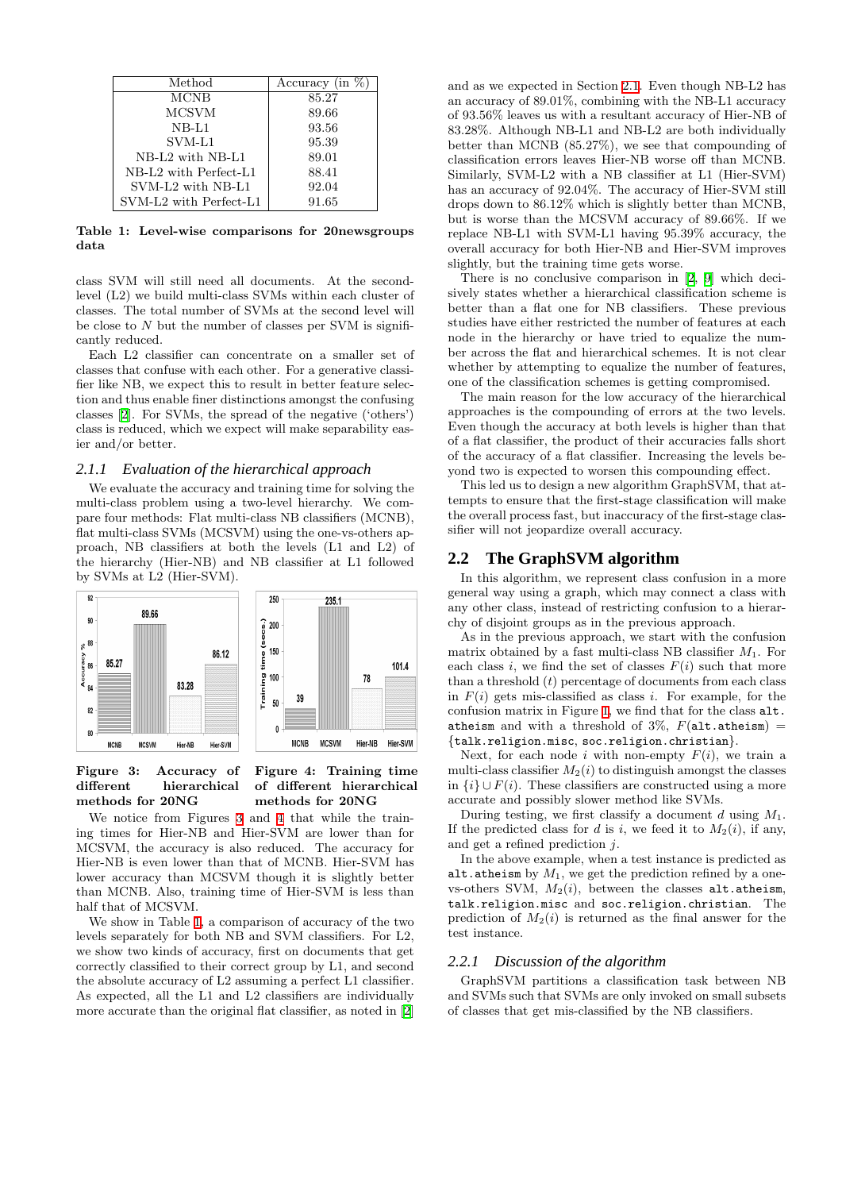| Method                                        | Accuracy (in $\%$ ) |
|-----------------------------------------------|---------------------|
| <b>MCNB</b>                                   | 85.27               |
| <b>MCSVM</b>                                  | 89.66               |
| $NB-L1$                                       | 93.56               |
| SVM-L1                                        | 95.39               |
| $NB-L2$ with $NB-L1$                          | 89.01               |
| NB-L <sub>2</sub> with Perfect-L <sub>1</sub> | 88.41               |
| SVM-L2 with NB-L1                             | 92.04               |
| SVM-L2 with Perfect-L1                        | 91.65               |

<span id="page-2-2"></span>Table 1: Level-wise comparisons for 20newsgroups data

class SVM will still need all documents. At the secondlevel (L2) we build multi-class SVMs within each cluster of classes. The total number of SVMs at the second level will be close to  $N$  but the number of classes per SVM is significantly reduced.

Each L2 classifier can concentrate on a smaller set of classes that confuse with each other. For a generative classifier like NB, we expect this to result in better feature selection and thus enable finer distinctions amongst the confusing classes[[2\]](#page-5-12). For SVMs, the spread of the negative ('others') class is reduced, which we expect will make separability easier and/or better.

#### *2.1.1 Evaluation of the hierarchical approach*

We evaluate the accuracy and training time for solving the multi-class problem using a two-level hierarchy. We compare four methods: Flat multi-class NB classifiers (MCNB), flat multi-class SVMs (MCSVM) using the one-vs-others approach, NB classifiers at both the levels (L1 and L2) of the hierarchy (Hier-NB) and NB classifier at L1 followed by SVMs at L2 (Hier-SVM).



<span id="page-2-0"></span>Figure 3: Accuracy of different hierarchical methods for 20NG

<span id="page-2-1"></span>Figure 4: Training time of different hierarchical methods for 20NG

We notice from Figures [3](#page-2-0) and [4](#page-2-1) that while the training times for Hier-NB and Hier-SVM are lower than for MCSVM, the accuracy is also reduced. The accuracy for Hier-NB is even lower than that of MCNB. Hier-SVM has lower accuracy than MCSVM though it is slightly better than MCNB. Also, training time of Hier-SVM is less than half that of MCSVM.

We show in Table [1,](#page-2-2) a comparison of accuracy of the two levels separately for both NB and SVM classifiers. For L2, we show two kinds of accuracy, first on documents that get correctly classified to their correct group by L1, and second the absolute accuracy of L2 assuming a perfect L1 classifier. As expected, all the L1 and L2 classifiers are individually more accurate than the original flat classifier, as noted in[[2](#page-5-12)]

and as we expected in Section [2.1](#page-1-2). Even though NB-L2 has an accuracy of 89.01%, combining with the NB-L1 accuracy of 93.56% leaves us with a resultant accuracy of Hier-NB of 83.28%. Although NB-L1 and NB-L2 are both individually better than MCNB (85.27%), we see that compounding of classification errors leaves Hier-NB worse off than MCNB. Similarly, SVM-L2 with a NB classifier at L1 (Hier-SVM) has an accuracy of 92.04%. The accuracy of Hier-SVM still drops down to 86.12% which is slightly better than MCNB, but is worse than the MCSVM accuracy of 89.66%. If we replace NB-L1 with SVM-L1 having 95.39% accuracy, the overall accuracy for both Hier-NB and Hier-SVM improves slightly, but the training time gets worse.

There is no conclusive comparison in[[2](#page-5-12), [9\]](#page-5-13) which decisively states whether a hierarchical classification scheme is better than a flat one for NB classifiers. These previous studies have either restricted the number of features at each node in the hierarchy or have tried to equalize the number across the flat and hierarchical schemes. It is not clear whether by attempting to equalize the number of features, one of the classification schemes is getting compromised.

The main reason for the low accuracy of the hierarchical approaches is the compounding of errors at the two levels. Even though the accuracy at both levels is higher than that of a flat classifier, the product of their accuracies falls short of the accuracy of a flat classifier. Increasing the levels beyond two is expected to worsen this compounding effect.

This led us to design a new algorithm GraphSVM, that attempts to ensure that the first-stage classification will make the overall process fast, but inaccuracy of the first-stage classifier will not jeopardize overall accuracy.

## **2.2 The GraphSVM algorithm**

In this algorithm, we represent class confusion in a more general way using a graph, which may connect a class with any other class, instead of restricting confusion to a hierarchy of disjoint groups as in the previous approach.

As in the previous approach, we start with the confusion matrix obtained by a fast multi-class NB classifier  $M_1$ . For each class i, we find the set of classes  $F(i)$  such that more than a threshold  $(t)$  percentage of documents from each class in  $F(i)$  gets mis-classified as class i. For example, for the confusion matrix in Figure [1](#page-1-0), we find that for the class alt. atheism and with a threshold of 3%,  $F(\text{alt}.\text{atheism}) =$ {talk.religion.misc, soc.religion.christian}.

Next, for each node i with non-empty  $F(i)$ , we train a multi-class classifier  $M_2(i)$  to distinguish amongst the classes in  $\{i\} \cup F(i)$ . These classifiers are constructed using a more accurate and possibly slower method like SVMs.

During testing, we first classify a document d using  $M_1$ . If the predicted class for d is i, we feed it to  $M_2(i)$ , if any, and get a refined prediction j.

In the above example, when a test instance is predicted as alt.atheism by  $M_1$ , we get the prediction refined by a onevs-others SVM,  $M_2(i)$ , between the classes alt.atheism, talk.religion.misc and soc.religion.christian. The prediction of  $M_2(i)$  is returned as the final answer for the test instance.

#### *2.2.1 Discussion of the algorithm*

GraphSVM partitions a classification task between NB and SVMs such that SVMs are only invoked on small subsets of classes that get mis-classified by the NB classifiers.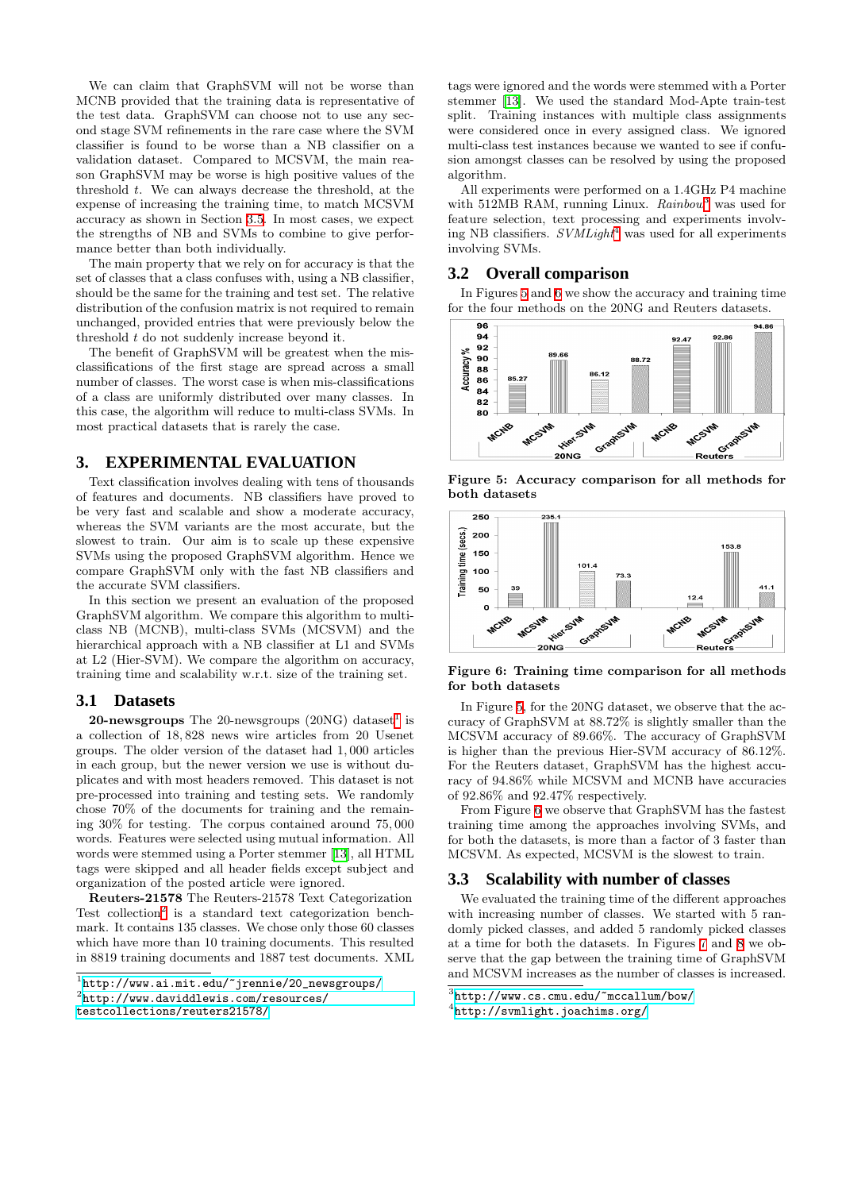We can claim that GraphSVM will not be worse than MCNB provided that the training data is representative of the test data. GraphSVM can choose not to use any second stage SVM refinements in the rare case where the SVM classifier is found to be worse than a NB classifier on a validation dataset. Compared to MCSVM, the main reason GraphSVM may be worse is high positive values of the threshold t. We can always decrease the threshold, at the expense of increasing the training time, to match MCSVM accuracy as shown in Section [3.5](#page-4-0). In most cases, we expect the strengths of NB and SVMs to combine to give performance better than both individually.

The main property that we rely on for accuracy is that the set of classes that a class confuses with, using a NB classifier, should be the same for the training and test set. The relative distribution of the confusion matrix is not required to remain unchanged, provided entries that were previously below the threshold t do not suddenly increase beyond it.

The benefit of GraphSVM will be greatest when the misclassifications of the first stage are spread across a small number of classes. The worst case is when mis-classifications of a class are uniformly distributed over many classes. In this case, the algorithm will reduce to multi-class SVMs. In most practical datasets that is rarely the case.

## **3. EXPERIMENTAL EVALUATION**

Text classification involves dealing with tens of thousands of features and documents. NB classifiers have proved to be very fast and scalable and show a moderate accuracy, whereas the SVM variants are the most accurate, but the slowest to train. Our aim is to scale up these expensive SVMs using the proposed GraphSVM algorithm. Hence we compare GraphSVM only with the fast NB classifiers and the accurate SVM classifiers.

In this section we present an evaluation of the proposed GraphSVM algorithm. We compare this algorithm to multiclass NB (MCNB), multi-class SVMs (MCSVM) and the hierarchical approach with a NB classifier at L1 and SVMs at L2 (Hier-SVM). We compare the algorithm on accuracy, training time and scalability w.r.t. size of the training set.

#### <span id="page-3-0"></span>**3.1 Datasets**

**20-newsgroups** The 20-newsgroups (20NG) dataset<sup>[1](#page-3-1)</sup> is a collection of 18, 828 news wire articles from 20 Usenet groups. The older version of the dataset had 1, 000 articles in each group, but the newer version we use is without duplicates and with most headers removed. This dataset is not pre-processed into training and testing sets. We randomly chose 70% of the documents for training and the remaining 30% for testing. The corpus contained around 75, 000 words. Features were selected using mutual information. All words were stemmed using a Porter stemmer [\[13](#page-5-14)], all HTML tags were skipped and all header fields except subject and organization of the posted article were ignored.

Reuters-21578 The Reuters-21578 Text Categorization Test collection<sup>[2](#page-3-2)</sup> is a standard text categorization benchmark. It contains 135 classes. We chose only those 60 classes which have more than 10 training documents. This resulted in 8819 training documents and 1887 test documents. XML

tags were ignored and the words were stemmed with a Porter stemmer[[13\]](#page-5-14). We used the standard Mod-Apte train-test split. Training instances with multiple class assignments were considered once in every assigned class. We ignored multi-class test instances because we wanted to see if confusion amongst classes can be resolved by using the proposed algorithm.

All experiments were performed on a 1.4GHz P4 machine with 512MB RAM, running Linux.  $Rainbow<sup>3</sup>$  $Rainbow<sup>3</sup>$  $Rainbow<sup>3</sup>$  was used for feature selection, text processing and experiments involving NB classifiers.  $SVMLight<sup>4</sup>$  $SVMLight<sup>4</sup>$  $SVMLight<sup>4</sup>$  was used for all experiments involving SVMs.

## <span id="page-3-7"></span>**3.2 Overall comparison**

In Figures [5](#page-3-5) and [6](#page-3-6) we show the accuracy and training time for the four methods on the 20NG and Reuters datasets.



<span id="page-3-5"></span>Figure 5: Accuracy comparison for all methods for both datasets



<span id="page-3-6"></span>Figure 6: Training time comparison for all methods for both datasets

In Figure [5,](#page-3-5) for the 20NG dataset, we observe that the accuracy of GraphSVM at 88.72% is slightly smaller than the MCSVM accuracy of 89.66%. The accuracy of GraphSVM is higher than the previous Hier-SVM accuracy of 86.12%. For the Reuters dataset, GraphSVM has the highest accuracy of 94.86% while MCSVM and MCNB have accuracies of 92.86% and 92.47% respectively.

From Figure [6](#page-3-6) we observe that GraphSVM has the fastest training time among the approaches involving SVMs, and for both the datasets, is more than a factor of 3 faster than MCSVM. As expected, MCSVM is the slowest to train.

#### <span id="page-3-8"></span>**3.3 Scalability with number of classes**

We evaluated the training time of the different approaches with increasing number of classes. We started with 5 randomly picked classes, and added 5 randomly picked classes at a time for both the datasets. In Figures [7](#page-4-1) and [8](#page-4-2) we observe that the gap between the training time of GraphSVM and MCSVM increases as the number of classes is increased.

<span id="page-3-1"></span><sup>1</sup> [http://www.ai.mit.edu/~jrennie/20\\_newsgroups/](http://www.ai.mit.edu/~jrennie/20_newsgroups/)

<span id="page-3-2"></span> $^{2}$ [http://www.daviddlewis.com/resources/](http://www.daviddlewis.com/resources/testcollections/reuters21578/)

[testcollections/reuters21578/](http://www.daviddlewis.com/resources/testcollections/reuters21578/)

<span id="page-3-3"></span> $3$ <http://www.cs.cmu.edu/~mccallum/bow/>

<span id="page-3-4"></span><sup>4</sup> <http://svmlight.joachims.org/>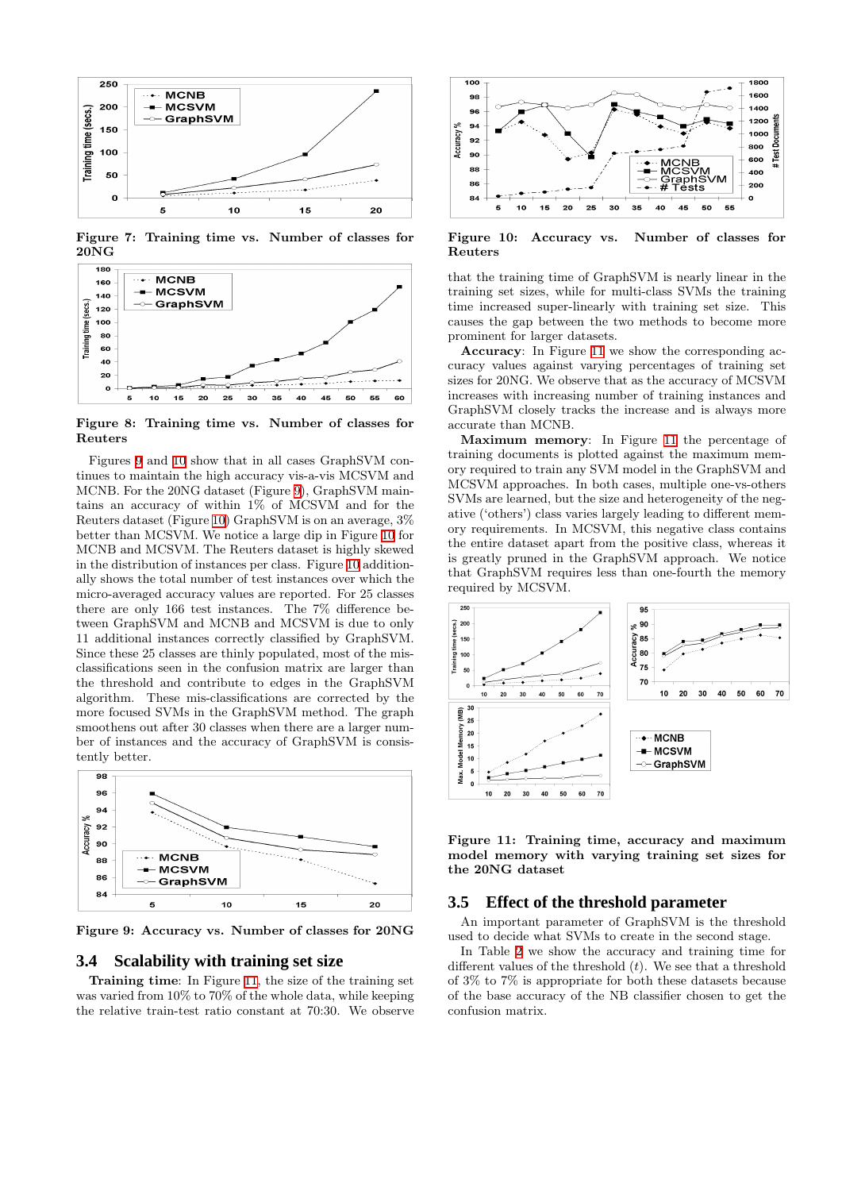

<span id="page-4-1"></span>Figure 7: Training time vs. Number of classes for 20NG



<span id="page-4-2"></span>Figure 8: Training time vs. Number of classes for Reuters

Figures [9](#page-4-3) and [10](#page-4-4) show that in all cases GraphSVM continues to maintain the high accuracy vis-a-vis MCSVM and MCNB. For the 20NG dataset (Figure [9\)](#page-4-3), GraphSVM maintains an accuracy of within 1% of MCSVM and for the Reuters dataset (Figure [10](#page-4-4)) GraphSVM is on an average, 3% better than MCSVM. We notice a large dip in Figure [10](#page-4-4) for MCNB and MCSVM. The Reuters dataset is highly skewed in the distribution of instances per class. Figure [10](#page-4-4) additionally shows the total number of test instances over which the micro-averaged accuracy values are reported. For 25 classes there are only 166 test instances. The 7% difference between GraphSVM and MCNB and MCSVM is due to only 11 additional instances correctly classified by GraphSVM. Since these 25 classes are thinly populated, most of the misclassifications seen in the confusion matrix are larger than the threshold and contribute to edges in the GraphSVM algorithm. These mis-classifications are corrected by the more focused SVMs in the GraphSVM method. The graph smoothens out after 30 classes when there are a larger number of instances and the accuracy of GraphSVM is consistently better.



<span id="page-4-3"></span>Figure 9: Accuracy vs. Number of classes for 20NG

## <span id="page-4-6"></span>**3.4 Scalability with training set size**

Training time: In Figure [11](#page-4-5), the size of the training set was varied from 10% to 70% of the whole data, while keeping the relative train-test ratio constant at 70:30. We observe



<span id="page-4-4"></span>Figure 10: Accuracy vs. Number of classes for Reuters

that the training time of GraphSVM is nearly linear in the training set sizes, while for multi-class SVMs the training time increased super-linearly with training set size. This causes the gap between the two methods to become more prominent for larger datasets.

Accuracy: In Figure [11](#page-4-5) we show the corresponding accuracy values against varying percentages of training set sizes for 20NG. We observe that as the accuracy of MCSVM increases with increasing number of training instances and GraphSVM closely tracks the increase and is always more accurate than MCNB.

Maximum memory: In Figure [11](#page-4-5) the percentage of training documents is plotted against the maximum memory required to train any SVM model in the GraphSVM and MCSVM approaches. In both cases, multiple one-vs-others SVMs are learned, but the size and heterogeneity of the negative ('others') class varies largely leading to different memory requirements. In MCSVM, this negative class contains the entire dataset apart from the positive class, whereas it is greatly pruned in the GraphSVM approach. We notice that GraphSVM requires less than one-fourth the memory required by MCSVM.



<span id="page-4-5"></span>Figure 11: Training time, accuracy and maximum model memory with varying training set sizes for the 20NG dataset

#### <span id="page-4-0"></span>**3.5 Effect of the threshold parameter**

An important parameter of GraphSVM is the threshold used to decide what SVMs to create in the second stage.

In Table [2](#page-5-15) we show the accuracy and training time for different values of the threshold  $(t)$ . We see that a threshold of 3% to 7% is appropriate for both these datasets because of the base accuracy of the NB classifier chosen to get the confusion matrix.